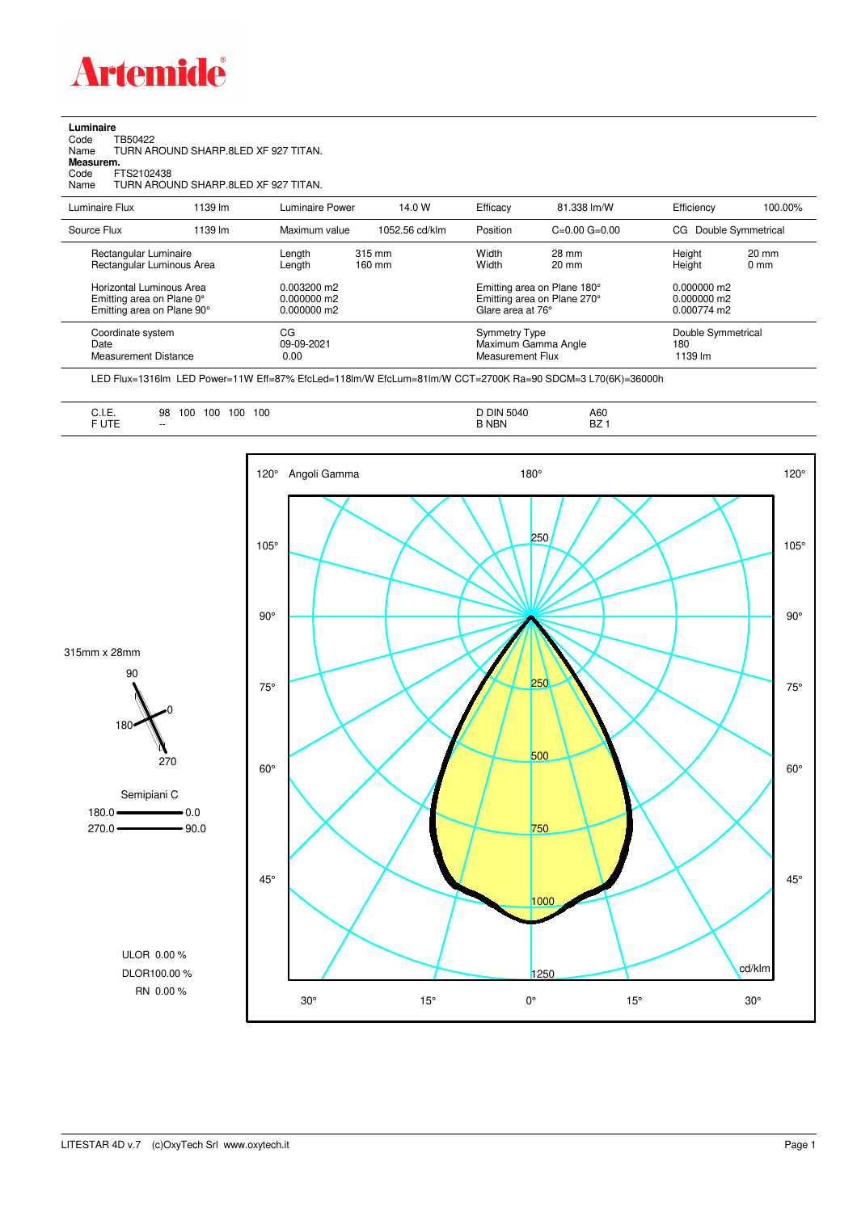

| Luminaire<br>TB50422<br>Code<br>Name<br>Measurem.<br>Code<br>FTS2102438<br>Name | TURN AROUND SHARP 8LED XF 927 TITAN.<br>TURN AROUND SHARP 8LED XF 927 TITAN. |                  |                                |                |                              |                          |                             |
|---------------------------------------------------------------------------------|------------------------------------------------------------------------------|------------------|--------------------------------|----------------|------------------------------|--------------------------|-----------------------------|
| Luminaire Flux                                                                  | 1139 lm                                                                      | Luminaire Power  | 14.0 W                         | Efficacy       | 81.338 lm/W                  | Efficiency               | 100.00%                     |
| Source Flux                                                                     | 1139 lm                                                                      | Maximum value    | 1052.56 cd/klm                 | Position       | $C = 0.00$ $G = 0.00$        | CG Double Symmetrical    |                             |
| Rectangular Luminaire<br>Poetangular Luminous Aron                              |                                                                              | Length<br>onoth. | 315 mm<br>$100 \, \mathrm{mm}$ | Width<br>Midth | 28 mm<br>$20 \, \mathrm{mm}$ | Height<br>$\sqcup$ niaht | $20 \text{ mm}$<br>$n_{mm}$ |

| Rectangular Luminous Area                                                           | --<br>Length                                       | 160 mm | .<br>Width                               | ----<br>$20 \text{ mm}$                                    | 1.0.911<br>Height                               | ----<br>$0 \text{ mm}$ |
|-------------------------------------------------------------------------------------|----------------------------------------------------|--------|------------------------------------------|------------------------------------------------------------|-------------------------------------------------|------------------------|
| Horizontal Luminous Area<br>Emitting area on Plane 0°<br>Emitting area on Plane 90° | $0.003200 \text{ m}$<br>0.000000 m2<br>0.000000 m2 |        | Glare area at 76°                        | Emitting area on Plane 180°<br>Emitting area on Plane 270° | $0.000000$ m2<br>$0.000000$ m2<br>$0.000774$ m2 |                        |
| Coordinate system<br>Date<br><b>Measurement Distance</b>                            | СG<br>09-09-2021<br>0.00                           |        | <b>Symmetry Type</b><br>Measurement Flux | Maximum Gamma Angle                                        | Double Symmetrical<br>180<br>1139 lm            |                        |

LED Flux=1316lm LED Power=11W Eff=87% EfcLed=118lm/W EfcLum=81lm/W CCT=2700K Ra=90 SDCM=3 L70(6K)=36000h